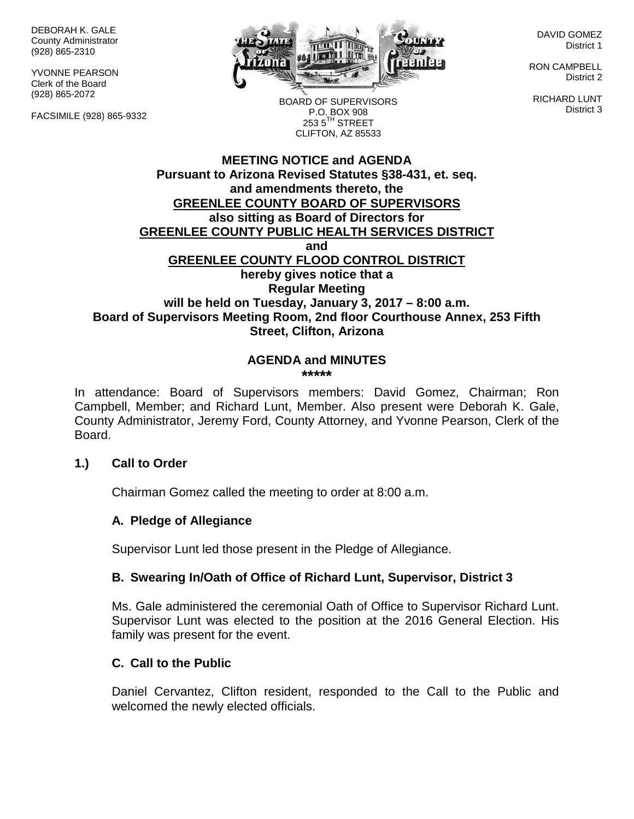DEBORAH K. GALE County Administrator (928) 865-2310

YVONNE PEARSON Clerk of the Board (928) 865-2072

FACSIMILE (928) 865-9332



DAVID GOMEZ District 1

RON CAMPBELL District 2

RICHARD LUNT District 3

BOARD OF SUPERVISORS P.O. BOX 908  $253.5$ <sup>TH</sup> STREET CLIFTON, AZ 85533

#### **MEETING NOTICE and AGENDA Pursuant to Arizona Revised Statutes §38-431, et. seq. and amendments thereto, the GREENLEE COUNTY BOARD OF SUPERVISORS also sitting as Board of Directors for GREENLEE COUNTY PUBLIC HEALTH SERVICES DISTRICT and GREENLEE COUNTY FLOOD CONTROL DISTRICT hereby gives notice that a Regular Meeting will be held on Tuesday, January 3, 2017 – 8:00 a.m. Board of Supervisors Meeting Room, 2nd floor Courthouse Annex, 253 Fifth Street, Clifton, Arizona**

#### **AGENDA and MINUTES \*\*\*\*\***

In attendance: Board of Supervisors members: David Gomez, Chairman; Ron Campbell, Member; and Richard Lunt, Member. Also present were Deborah K. Gale, County Administrator, Jeremy Ford, County Attorney, and Yvonne Pearson, Clerk of the Board.

### **1.) Call to Order**

Chairman Gomez called the meeting to order at 8:00 a.m.

### **A. Pledge of Allegiance**

Supervisor Lunt led those present in the Pledge of Allegiance.

### **B. Swearing In/Oath of Office of Richard Lunt, Supervisor, District 3**

Ms. Gale administered the ceremonial Oath of Office to Supervisor Richard Lunt. Supervisor Lunt was elected to the position at the 2016 General Election. His family was present for the event.

### **C. Call to the Public**

Daniel Cervantez, Clifton resident, responded to the Call to the Public and welcomed the newly elected officials.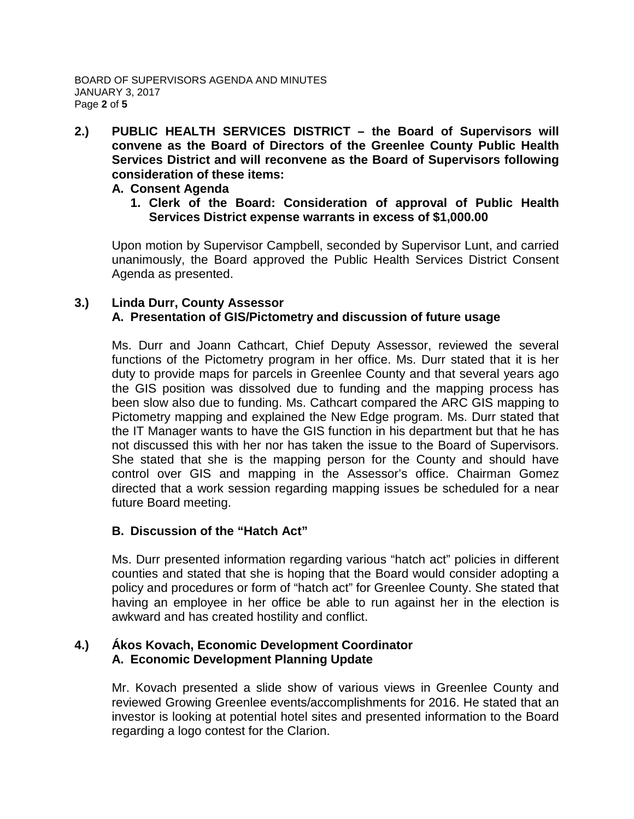**2.) PUBLIC HEALTH SERVICES DISTRICT – the Board of Supervisors will convene as the Board of Directors of the Greenlee County Public Health Services District and will reconvene as the Board of Supervisors following consideration of these items:**

#### **A. Consent Agenda**

**1. Clerk of the Board: Consideration of approval of Public Health Services District expense warrants in excess of \$1,000.00**

Upon motion by Supervisor Campbell, seconded by Supervisor Lunt, and carried unanimously, the Board approved the Public Health Services District Consent Agenda as presented.

#### **3.) Linda Durr, County Assessor A. Presentation of GIS/Pictometry and discussion of future usage**

Ms. Durr and Joann Cathcart, Chief Deputy Assessor, reviewed the several functions of the Pictometry program in her office. Ms. Durr stated that it is her duty to provide maps for parcels in Greenlee County and that several years ago the GIS position was dissolved due to funding and the mapping process has been slow also due to funding. Ms. Cathcart compared the ARC GIS mapping to Pictometry mapping and explained the New Edge program. Ms. Durr stated that the IT Manager wants to have the GIS function in his department but that he has not discussed this with her nor has taken the issue to the Board of Supervisors. She stated that she is the mapping person for the County and should have control over GIS and mapping in the Assessor's office. Chairman Gomez directed that a work session regarding mapping issues be scheduled for a near future Board meeting.

### **B. Discussion of the "Hatch Act"**

Ms. Durr presented information regarding various "hatch act" policies in different counties and stated that she is hoping that the Board would consider adopting a policy and procedures or form of "hatch act" for Greenlee County. She stated that having an employee in her office be able to run against her in the election is awkward and has created hostility and conflict.

## **4.) Ákos Kovach, Economic Development Coordinator A. Economic Development Planning Update**

Mr. Kovach presented a slide show of various views in Greenlee County and reviewed Growing Greenlee events/accomplishments for 2016. He stated that an investor is looking at potential hotel sites and presented information to the Board regarding a logo contest for the Clarion.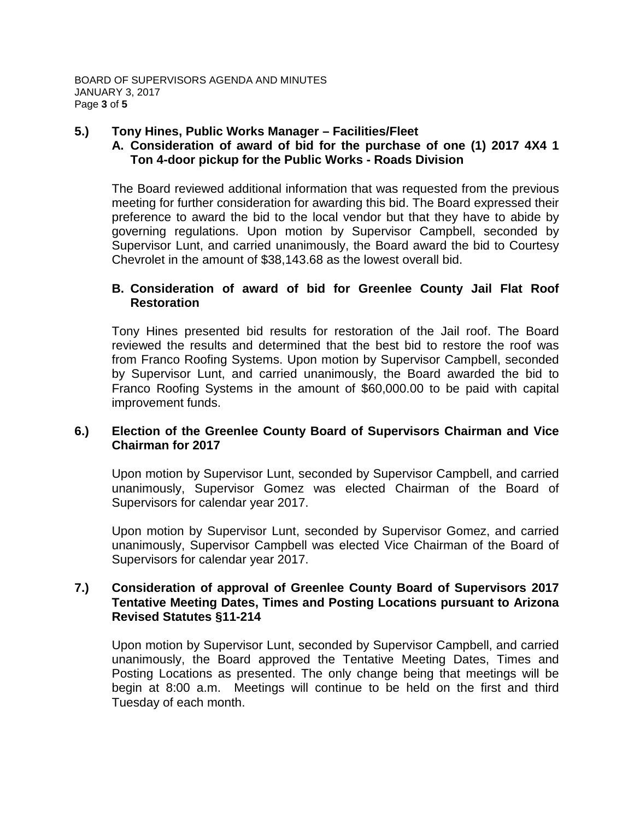### **5.) Tony Hines, Public Works Manager – Facilities/Fleet**

# **A. Consideration of award of bid for the purchase of one (1) 2017 4X4 1 Ton 4-door pickup for the Public Works - Roads Division**

The Board reviewed additional information that was requested from the previous meeting for further consideration for awarding this bid. The Board expressed their preference to award the bid to the local vendor but that they have to abide by governing regulations. Upon motion by Supervisor Campbell, seconded by Supervisor Lunt, and carried unanimously, the Board award the bid to Courtesy Chevrolet in the amount of \$38,143.68 as the lowest overall bid.

## **B. Consideration of award of bid for Greenlee County Jail Flat Roof Restoration**

Tony Hines presented bid results for restoration of the Jail roof. The Board reviewed the results and determined that the best bid to restore the roof was from Franco Roofing Systems. Upon motion by Supervisor Campbell, seconded by Supervisor Lunt, and carried unanimously, the Board awarded the bid to Franco Roofing Systems in the amount of \$60,000.00 to be paid with capital improvement funds.

## **6.) Election of the Greenlee County Board of Supervisors Chairman and Vice Chairman for 2017**

Upon motion by Supervisor Lunt, seconded by Supervisor Campbell, and carried unanimously, Supervisor Gomez was elected Chairman of the Board of Supervisors for calendar year 2017.

Upon motion by Supervisor Lunt, seconded by Supervisor Gomez, and carried unanimously, Supervisor Campbell was elected Vice Chairman of the Board of Supervisors for calendar year 2017.

### **7.) Consideration of approval of Greenlee County Board of Supervisors 2017 Tentative Meeting Dates, Times and Posting Locations pursuant to Arizona Revised Statutes §11-214**

Upon motion by Supervisor Lunt, seconded by Supervisor Campbell, and carried unanimously, the Board approved the Tentative Meeting Dates, Times and Posting Locations as presented. The only change being that meetings will be begin at 8:00 a.m. Meetings will continue to be held on the first and third Tuesday of each month.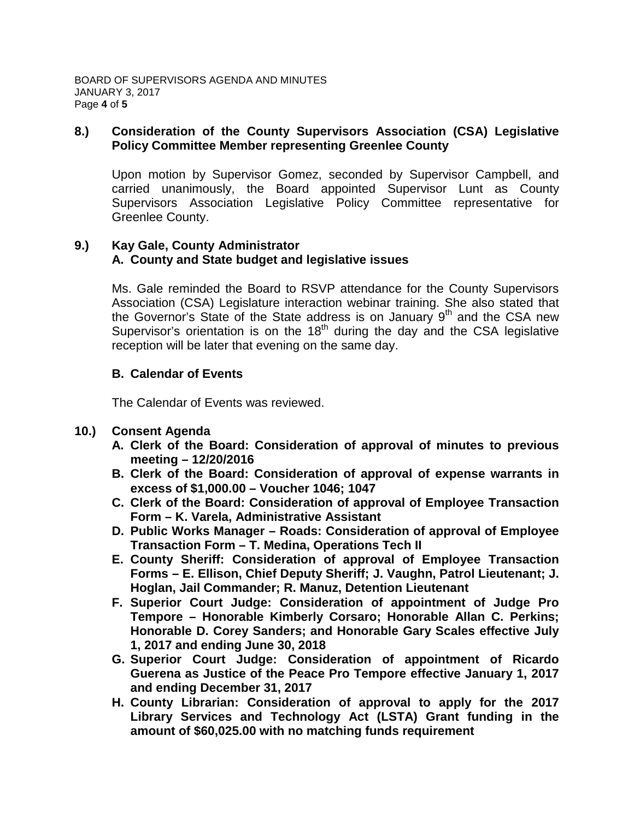### **8.) Consideration of the County Supervisors Association (CSA) Legislative Policy Committee Member representing Greenlee County**

Upon motion by Supervisor Gomez, seconded by Supervisor Campbell, and carried unanimously, the Board appointed Supervisor Lunt as County Supervisors Association Legislative Policy Committee representative for Greenlee County.

# **9.) Kay Gale, County Administrator A. County and State budget and legislative issues**

Ms. Gale reminded the Board to RSVP attendance for the County Supervisors Association (CSA) Legislature interaction webinar training. She also stated that the Governor's State of the State address is on January 9<sup>th</sup> and the CSA new Supervisor's orientation is on the  $18<sup>th</sup>$  during the day and the CSA legislative reception will be later that evening on the same day.

# **B. Calendar of Events**

The Calendar of Events was reviewed.

- **10.) Consent Agenda**
	- **A. Clerk of the Board: Consideration of approval of minutes to previous meeting – 12/20/2016**
	- **B. Clerk of the Board: Consideration of approval of expense warrants in excess of \$1,000.00 – Voucher 1046; 1047**
	- **C. Clerk of the Board: Consideration of approval of Employee Transaction Form – K. Varela, Administrative Assistant**
	- **D. Public Works Manager – Roads: Consideration of approval of Employee Transaction Form – T. Medina, Operations Tech II**
	- **E. County Sheriff: Consideration of approval of Employee Transaction Forms – E. Ellison, Chief Deputy Sheriff; J. Vaughn, Patrol Lieutenant; J. Hoglan, Jail Commander; R. Manuz, Detention Lieutenant**
	- **F. Superior Court Judge: Consideration of appointment of Judge Pro Tempore – Honorable Kimberly Corsaro; Honorable Allan C. Perkins; Honorable D. Corey Sanders; and Honorable Gary Scales effective July 1, 2017 and ending June 30, 2018**
	- **G. Superior Court Judge: Consideration of appointment of Ricardo Guerena as Justice of the Peace Pro Tempore effective January 1, 2017 and ending December 31, 2017**
	- **H. County Librarian: Consideration of approval to apply for the 2017 Library Services and Technology Act (LSTA) Grant funding in the amount of \$60,025.00 with no matching funds requirement**